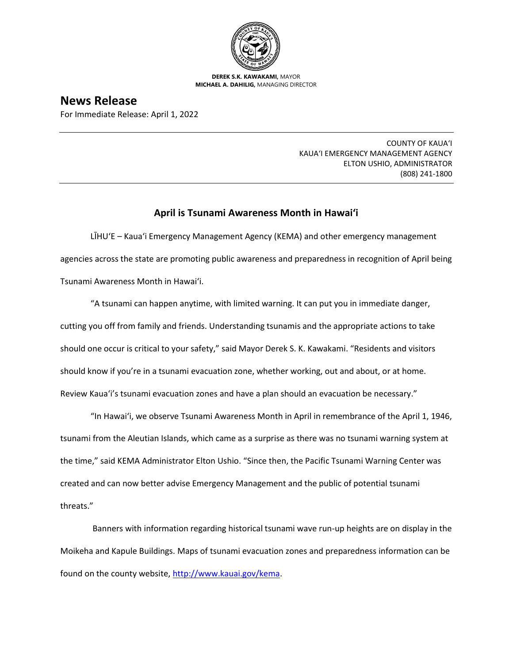

**DEREK S.K. KAWAKAMI,** MAYOR **MICHAEL A. DAHILIG,** MANAGING DIRECTOR

**News Release** For Immediate Release: April 1, 2022

> COUNTY OF KAUA'I KAUA'I EMERGENCY MANAGEMENT AGENCY ELTON USHIO, ADMINISTRATOR (808) 241-1800

## **April is Tsunami Awareness Month in Hawai'i**

LĪHU'E – Kaua'i Emergency Management Agency (KEMA) and other emergency management agencies across the state are promoting public awareness and preparedness in recognition of April being Tsunami Awareness Month in Hawai'i.

"A tsunami can happen anytime, with limited warning. It can put you in immediate danger, cutting you off from family and friends. Understanding tsunamis and the appropriate actions to take should one occur is critical to your safety," said Mayor Derek S. K. Kawakami. "Residents and visitors should know if you're in a tsunami evacuation zone, whether working, out and about, or at home. Review Kaua'i's tsunami evacuation zones and have a plan should an evacuation be necessary."

"In Hawai'i, we observe Tsunami Awareness Month in April in remembrance of the April 1, 1946, tsunami from the Aleutian Islands, which came as a surprise as there was no tsunami warning system at the time," said KEMA Administrator Elton Ushio. "Since then, the Pacific Tsunami Warning Center was created and can now better advise Emergency Management and the public of potential tsunami threats."

Banners with information regarding historical tsunami wave run-up heights are on display in the Moikeha and Kapule Buildings. Maps of tsunami evacuation zones and preparedness information can be found on the county website, [http://www.kauai.gov/kema.](http://www.kauai.gov/kema)